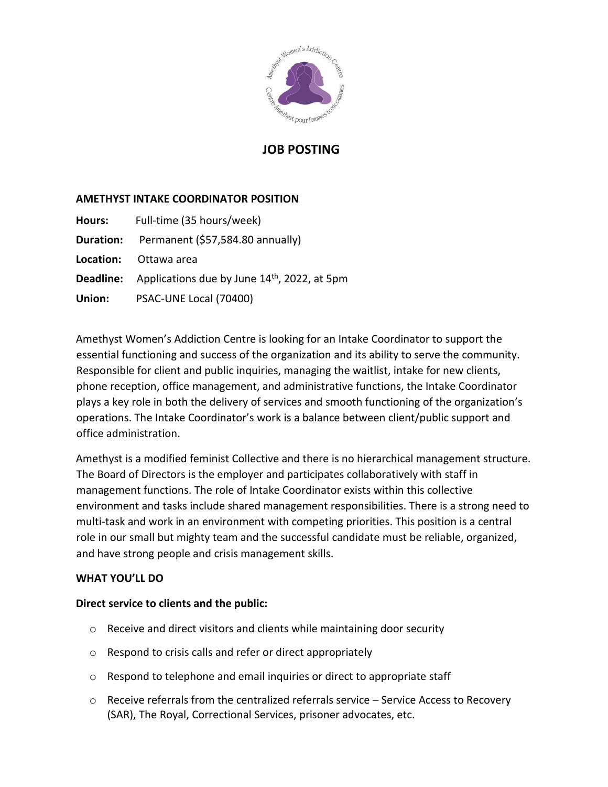

## **JOB POSTING**

## **AMETHYST INTAKE COORDINATOR POSITION**

| Hours: | Full-time (35 hours/week)                                                 |
|--------|---------------------------------------------------------------------------|
|        | Duration: Permanent (\$57,584.80 annually)                                |
|        | <b>Location:</b> Ottawa area                                              |
|        | <b>Deadline:</b> Applications due by June 14 <sup>th</sup> , 2022, at 5pm |
| Union: | PSAC-UNE Local (70400)                                                    |

Amethyst Women's Addiction Centre is looking for an Intake Coordinator to support the essential functioning and success of the organization and its ability to serve the community. Responsible for client and public inquiries, managing the waitlist, intake for new clients, phone reception, office management, and administrative functions, the Intake Coordinator plays a key role in both the delivery of services and smooth functioning of the organization's operations. The Intake Coordinator's work is a balance between client/public support and office administration.

Amethyst is a modified feminist Collective and there is no hierarchical management structure. The Board of Directors is the employer and participates collaboratively with staff in management functions. The role of Intake Coordinator exists within this collective environment and tasks include shared management responsibilities. There is a strong need to multi-task and work in an environment with competing priorities. This position is a central role in our small but mighty team and the successful candidate must be reliable, organized, and have strong people and crisis management skills.

### **WHAT YOU'LL DO**

## **Direct service to clients and the public:**

- $\circ$  Receive and direct visitors and clients while maintaining door security
- o Respond to crisis calls and refer or direct appropriately
- $\circ$  Respond to telephone and email inquiries or direct to appropriate staff
- o Receive referrals from the centralized referrals service Service Access to Recovery (SAR), The Royal, Correctional Services, prisoner advocates, etc.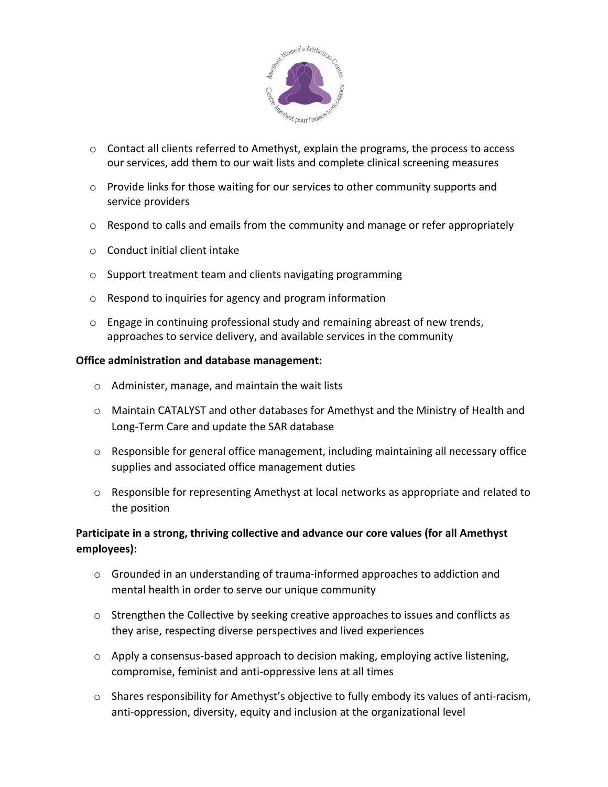

- $\circ$  Contact all clients referred to Amethyst, explain the programs, the process to access our services, add them to our wait lists and complete clinical screening measures
- $\circ$  Provide links for those waiting for our services to other community supports and service providers
- $\circ$  Respond to calls and emails from the community and manage or refer appropriately
- o Conduct initial client intake
- o Support treatment team and clients navigating programming
- o Respond to inquiries for agency and program information
- o Engage in continuing professional study and remaining abreast of new trends, approaches to service delivery, and available services in the community

### **Office administration and database management:**

- o Administer, manage, and maintain the wait lists
- o Maintain CATALYST and other databases for Amethyst and the Ministry of Health and Long-Term Care and update the SAR database
- $\circ$  Responsible for general office management, including maintaining all necessary office supplies and associated office management duties
- o Responsible for representing Amethyst at local networks as appropriate and related to the position

## **Participate in a strong, thriving collective and advance our core values (for all Amethyst employees):**

- o Grounded in an understanding of trauma-informed approaches to addiction and mental health in order to serve our unique community
- $\circ$  Strengthen the Collective by seeking creative approaches to issues and conflicts as they arise, respecting diverse perspectives and lived experiences
- $\circ$  Apply a consensus-based approach to decision making, employing active listening, compromise, feminist and anti-oppressive lens at all times
- o Shares responsibility for Amethyst's objective to fully embody its values of anti-racism, anti-oppression, diversity, equity and inclusion at the organizational level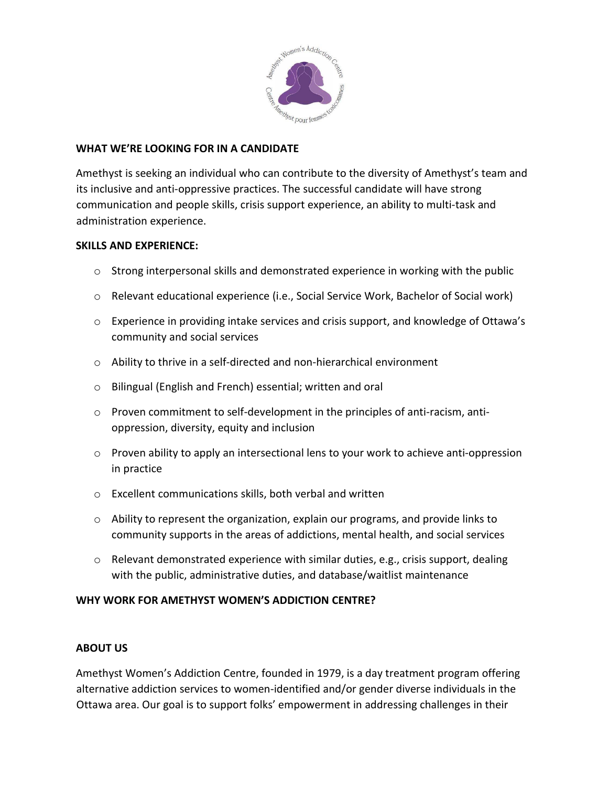

### **WHAT WE'RE LOOKING FOR IN A CANDIDATE**

Amethyst is seeking an individual who can contribute to the diversity of Amethyst's team and its inclusive and anti-oppressive practices. The successful candidate will have strong communication and people skills, crisis support experience, an ability to multi-task and administration experience.

### **SKILLS AND EXPERIENCE:**

- $\circ$  Strong interpersonal skills and demonstrated experience in working with the public
- o Relevant educational experience (i.e., Social Service Work, Bachelor of Social work)
- o Experience in providing intake services and crisis support, and knowledge of Ottawa's community and social services
- o Ability to thrive in a self-directed and non-hierarchical environment
- o Bilingual (English and French) essential; written and oral
- o Proven commitment to self-development in the principles of anti-racism, antioppression, diversity, equity and inclusion
- $\circ$  Proven ability to apply an intersectional lens to your work to achieve anti-oppression in practice
- o Excellent communications skills, both verbal and written
- $\circ$  Ability to represent the organization, explain our programs, and provide links to community supports in the areas of addictions, mental health, and social services
- $\circ$  Relevant demonstrated experience with similar duties, e.g., crisis support, dealing with the public, administrative duties, and database/waitlist maintenance

## **WHY WORK FOR AMETHYST WOMEN'S ADDICTION CENTRE?**

### **ABOUT US**

Amethyst Women's Addiction Centre, founded in 1979, is a day treatment program offering alternative addiction services to women-identified and/or gender diverse individuals in the Ottawa area. Our goal is to support folks' empowerment in addressing challenges in their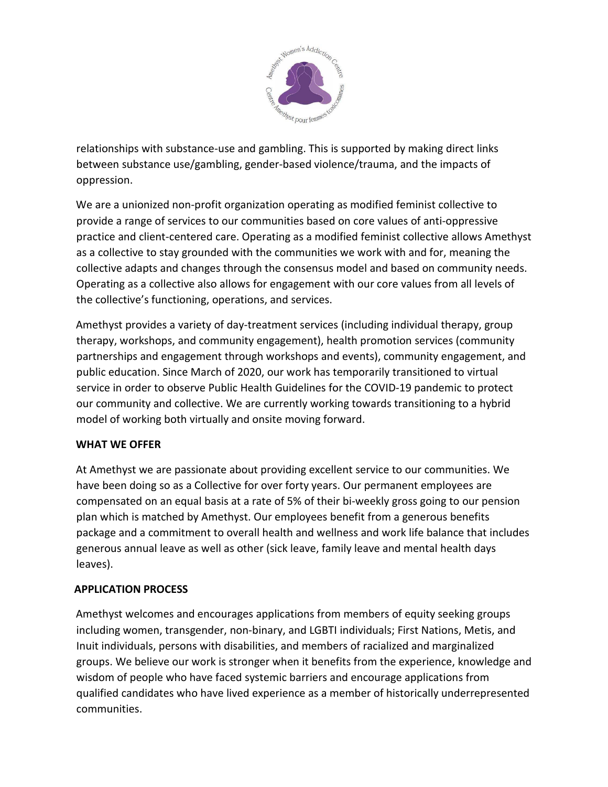

relationships with substance-use and gambling. This is supported by making direct links between substance use/gambling, gender-based violence/trauma, and the impacts of oppression.

We are a unionized non-profit organization operating as modified feminist collective to provide a range of services to our communities based on core values of anti-oppressive practice and client-centered care. Operating as a modified feminist collective allows Amethyst as a collective to stay grounded with the communities we work with and for, meaning the collective adapts and changes through the consensus model and based on community needs. Operating as a collective also allows for engagement with our core values from all levels of the collective's functioning, operations, and services.

Amethyst provides a variety of day-treatment services (including individual therapy, group therapy, workshops, and community engagement), health promotion services (community partnerships and engagement through workshops and events), community engagement, and public education. Since March of 2020, our work has temporarily transitioned to virtual service in order to observe Public Health Guidelines for the COVID-19 pandemic to protect our community and collective. We are currently working towards transitioning to a hybrid model of working both virtually and onsite moving forward.

## **WHAT WE OFFER**

At Amethyst we are passionate about providing excellent service to our communities. We have been doing so as a Collective for over forty years. Our permanent employees are compensated on an equal basis at a rate of 5% of their bi-weekly gross going to our pension plan which is matched by Amethyst. Our employees benefit from a generous benefits package and a commitment to overall health and wellness and work life balance that includes generous annual leave as well as other (sick leave, family leave and mental health days leaves).

## **APPLICATION PROCESS**

Amethyst welcomes and encourages applications from members of equity seeking groups including women, transgender, non-binary, and LGBTI individuals; First Nations, Metis, and Inuit individuals, persons with disabilities, and members of racialized and marginalized groups. We believe our work is stronger when it benefits from the experience, knowledge and wisdom of people who have faced systemic barriers and encourage applications from qualified candidates who have lived experience as a member of historically underrepresented communities.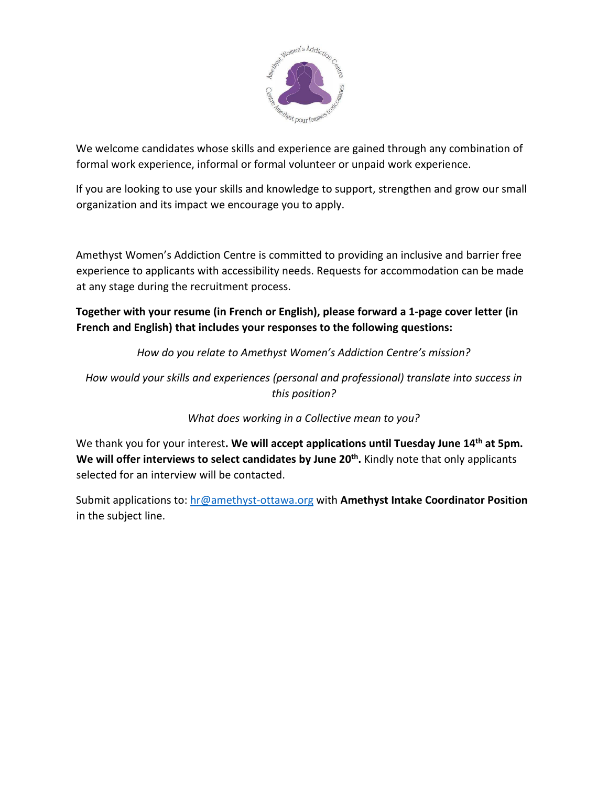

We welcome candidates whose skills and experience are gained through any combination of formal work experience, informal or formal volunteer or unpaid work experience.

If you are looking to use your skills and knowledge to support, strengthen and grow our small organization and its impact we encourage you to apply.

Amethyst Women's Addiction Centre is committed to providing an inclusive and barrier free experience to applicants with accessibility needs. Requests for accommodation can be made at any stage during the recruitment process.

**Together with your resume (in French or English), please forward a 1-page cover letter (in French and English) that includes your responses to the following questions:**

*How do you relate to Amethyst Women's Addiction Centre's mission?*

*How would your skills and experiences (personal and professional) translate into success in this position?*

*What does working in a Collective mean to you?*

We thank you for your interest**. We will accept applications until Tuesday June 14th at 5pm. We will offer interviews to select candidates by June 20th .** Kindly note that only applicants selected for an interview will be contacted.

Submit applications to: [hr@amethyst-ottawa.org](mailto:hr@amethyst-ottawa.org) with **Amethyst Intake Coordinator Position** in the subject line.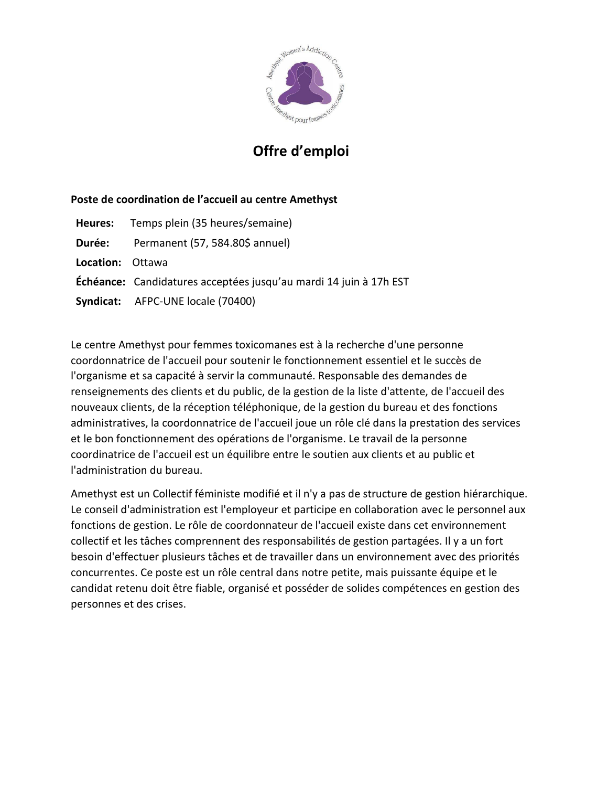

# **Offre d'emploi**

## **Poste de coordination de l'accueil au centre Amethyst**

|                         | Heures: Temps plein (35 heures/semaine)                                  |
|-------------------------|--------------------------------------------------------------------------|
|                         | Durée: Permanent (57, 584.80\$ annuel)                                   |
| <b>Location: Ottawa</b> |                                                                          |
|                         | <b>Échéance:</b> Candidatures acceptées jusqu'au mardi 14 juin à 17h EST |
|                         | Syndicat: AFPC-UNE locale (70400)                                        |

Le centre Amethyst pour femmes toxicomanes est à la recherche d'une personne coordonnatrice de l'accueil pour soutenir le fonctionnement essentiel et le succès de l'organisme et sa capacité à servir la communauté. Responsable des demandes de renseignements des clients et du public, de la gestion de la liste d'attente, de l'accueil des nouveaux clients, de la réception téléphonique, de la gestion du bureau et des fonctions administratives, la coordonnatrice de l'accueil joue un rôle clé dans la prestation des services et le bon fonctionnement des opérations de l'organisme. Le travail de la personne coordinatrice de l'accueil est un équilibre entre le soutien aux clients et au public et l'administration du bureau.

Amethyst est un Collectif féministe modifié et il n'y a pas de structure de gestion hiérarchique. Le conseil d'administration est l'employeur et participe en collaboration avec le personnel aux fonctions de gestion. Le rôle de coordonnateur de l'accueil existe dans cet environnement collectif et les tâches comprennent des responsabilités de gestion partagées. Il y a un fort besoin d'effectuer plusieurs tâches et de travailler dans un environnement avec des priorités concurrentes. Ce poste est un rôle central dans notre petite, mais puissante équipe et le candidat retenu doit être fiable, organisé et posséder de solides compétences en gestion des personnes et des crises.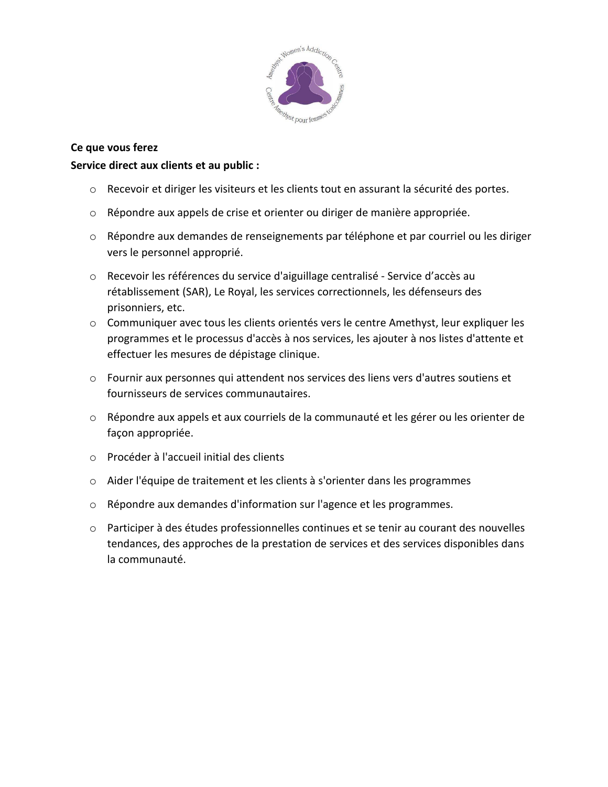

## **Ce que vous ferez**

### **Service direct aux clients et au public :**

- o Recevoir et diriger les visiteurs et les clients tout en assurant la sécurité des portes.
- o Répondre aux appels de crise et orienter ou diriger de manière appropriée.
- o Répondre aux demandes de renseignements par téléphone et par courriel ou les diriger vers le personnel approprié.
- o Recevoir les références du service d'aiguillage centralisé Service d'accès au rétablissement (SAR), Le Royal, les services correctionnels, les défenseurs des prisonniers, etc.
- o Communiquer avec tous les clients orientés vers le centre Amethyst, leur expliquer les programmes et le processus d'accès à nos services, les ajouter à nos listes d'attente et effectuer les mesures de dépistage clinique.
- o Fournir aux personnes qui attendent nos services des liens vers d'autres soutiens et fournisseurs de services communautaires.
- o Répondre aux appels et aux courriels de la communauté et les gérer ou les orienter de façon appropriée.
- o Procéder à l'accueil initial des clients
- o Aider l'équipe de traitement et les clients à s'orienter dans les programmes
- o Répondre aux demandes d'information sur l'agence et les programmes.
- $\circ$  Participer à des études professionnelles continues et se tenir au courant des nouvelles tendances, des approches de la prestation de services et des services disponibles dans la communauté.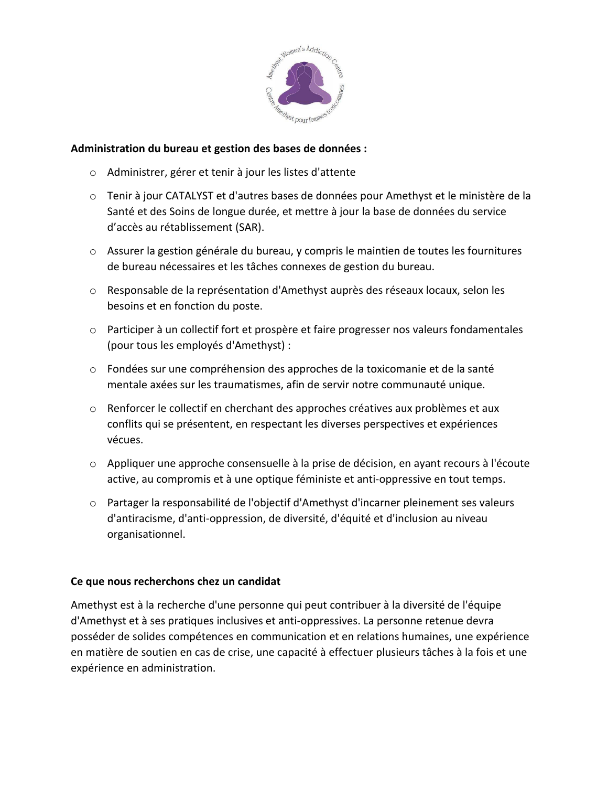

### **Administration du bureau et gestion des bases de données :**

- o Administrer, gérer et tenir à jour les listes d'attente
- o Tenir à jour CATALYST et d'autres bases de données pour Amethyst et le ministère de la Santé et des Soins de longue durée, et mettre à jour la base de données du service d'accès au rétablissement (SAR).
- o Assurer la gestion générale du bureau, y compris le maintien de toutes les fournitures de bureau nécessaires et les tâches connexes de gestion du bureau.
- o Responsable de la représentation d'Amethyst auprès des réseaux locaux, selon les besoins et en fonction du poste.
- $\circ$  Participer à un collectif fort et prospère et faire progresser nos valeurs fondamentales (pour tous les employés d'Amethyst) :
- o Fondées sur une compréhension des approches de la toxicomanie et de la santé mentale axées sur les traumatismes, afin de servir notre communauté unique.
- $\circ$  Renforcer le collectif en cherchant des approches créatives aux problèmes et aux conflits qui se présentent, en respectant les diverses perspectives et expériences vécues.
- o Appliquer une approche consensuelle à la prise de décision, en ayant recours à l'écoute active, au compromis et à une optique féministe et anti-oppressive en tout temps.
- o Partager la responsabilité de l'objectif d'Amethyst d'incarner pleinement ses valeurs d'antiracisme, d'anti-oppression, de diversité, d'équité et d'inclusion au niveau organisationnel.

### **Ce que nous recherchons chez un candidat**

Amethyst est à la recherche d'une personne qui peut contribuer à la diversité de l'équipe d'Amethyst et à ses pratiques inclusives et anti-oppressives. La personne retenue devra posséder de solides compétences en communication et en relations humaines, une expérience en matière de soutien en cas de crise, une capacité à effectuer plusieurs tâches à la fois et une expérience en administration.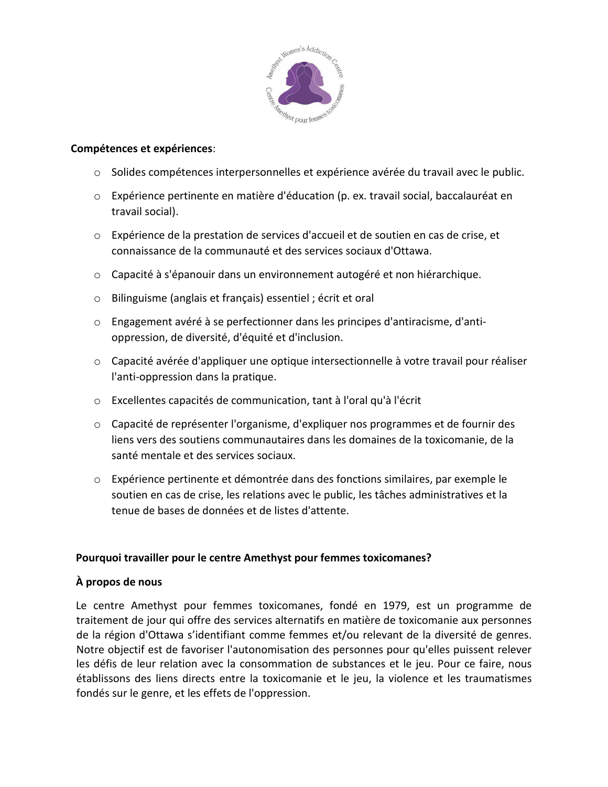

### **Compétences et expériences**:

- o Solides compétences interpersonnelles et expérience avérée du travail avec le public.
- o Expérience pertinente en matière d'éducation (p. ex. travail social, baccalauréat en travail social).
- o Expérience de la prestation de services d'accueil et de soutien en cas de crise, et connaissance de la communauté et des services sociaux d'Ottawa.
- o Capacité à s'épanouir dans un environnement autogéré et non hiérarchique.
- o Bilinguisme (anglais et français) essentiel ; écrit et oral
- o Engagement avéré à se perfectionner dans les principes d'antiracisme, d'antioppression, de diversité, d'équité et d'inclusion.
- o Capacité avérée d'appliquer une optique intersectionnelle à votre travail pour réaliser l'anti-oppression dans la pratique.
- o Excellentes capacités de communication, tant à l'oral qu'à l'écrit
- o Capacité de représenter l'organisme, d'expliquer nos programmes et de fournir des liens vers des soutiens communautaires dans les domaines de la toxicomanie, de la santé mentale et des services sociaux.
- o Expérience pertinente et démontrée dans des fonctions similaires, par exemple le soutien en cas de crise, les relations avec le public, les tâches administratives et la tenue de bases de données et de listes d'attente.

## **Pourquoi travailler pour le centre Amethyst pour femmes toxicomanes?**

## **À propos de nous**

Le centre Amethyst pour femmes toxicomanes, fondé en 1979, est un programme de traitement de jour qui offre des services alternatifs en matière de toxicomanie aux personnes de la région d'Ottawa s'identifiant comme femmes et/ou relevant de la diversité de genres. Notre objectif est de favoriser l'autonomisation des personnes pour qu'elles puissent relever les défis de leur relation avec la consommation de substances et le jeu. Pour ce faire, nous établissons des liens directs entre la toxicomanie et le jeu, la violence et les traumatismes fondés sur le genre, et les effets de l'oppression.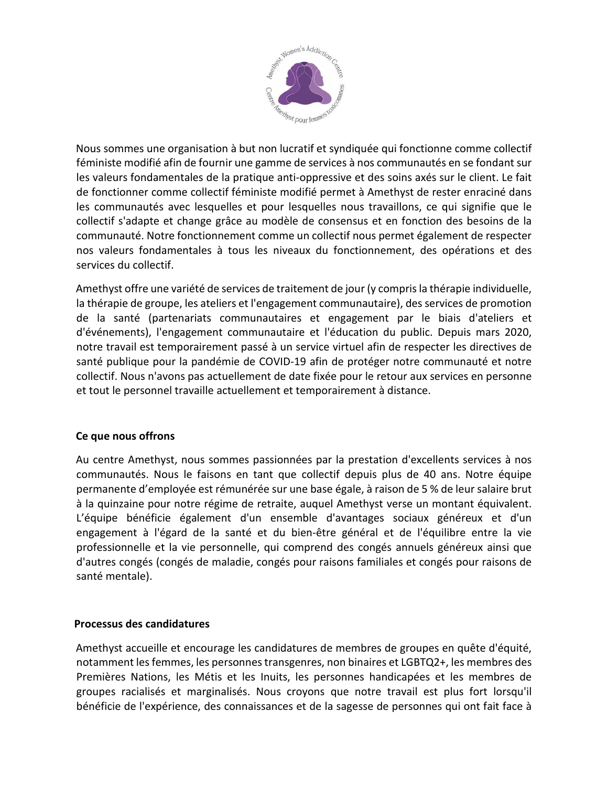

Nous sommes une organisation à but non lucratif et syndiquée qui fonctionne comme collectif féministe modifié afin de fournir une gamme de services à nos communautés en se fondant sur les valeurs fondamentales de la pratique anti-oppressive et des soins axés sur le client. Le fait de fonctionner comme collectif féministe modifié permet à Amethyst de rester enraciné dans les communautés avec lesquelles et pour lesquelles nous travaillons, ce qui signifie que le collectif s'adapte et change grâce au modèle de consensus et en fonction des besoins de la communauté. Notre fonctionnement comme un collectif nous permet également de respecter nos valeurs fondamentales à tous les niveaux du fonctionnement, des opérations et des services du collectif.

Amethyst offre une variété de services de traitement de jour (y comprisla thérapie individuelle, la thérapie de groupe, les ateliers et l'engagement communautaire), des services de promotion de la santé (partenariats communautaires et engagement par le biais d'ateliers et d'événements), l'engagement communautaire et l'éducation du public. Depuis mars 2020, notre travail est temporairement passé à un service virtuel afin de respecter les directives de santé publique pour la pandémie de COVID-19 afin de protéger notre communauté et notre collectif. Nous n'avons pas actuellement de date fixée pour le retour aux services en personne et tout le personnel travaille actuellement et temporairement à distance.

## **Ce que nous offrons**

Au centre Amethyst, nous sommes passionnées par la prestation d'excellents services à nos communautés. Nous le faisons en tant que collectif depuis plus de 40 ans. Notre équipe permanente d'employée est rémunérée sur une base égale, à raison de 5 % de leur salaire brut à la quinzaine pour notre régime de retraite, auquel Amethyst verse un montant équivalent. L'équipe bénéficie également d'un ensemble d'avantages sociaux généreux et d'un engagement à l'égard de la santé et du bien-être général et de l'équilibre entre la vie professionnelle et la vie personnelle, qui comprend des congés annuels généreux ainsi que d'autres congés (congés de maladie, congés pour raisons familiales et congés pour raisons de santé mentale).

### **Processus des candidatures**

Amethyst accueille et encourage les candidatures de membres de groupes en quête d'équité, notamment lesfemmes, les personnestransgenres, non binaires et LGBTQ2+, les membres des Premières Nations, les Métis et les Inuits, les personnes handicapées et les membres de groupes racialisés et marginalisés. Nous croyons que notre travail est plus fort lorsqu'il bénéficie de l'expérience, des connaissances et de la sagesse de personnes qui ont fait face à